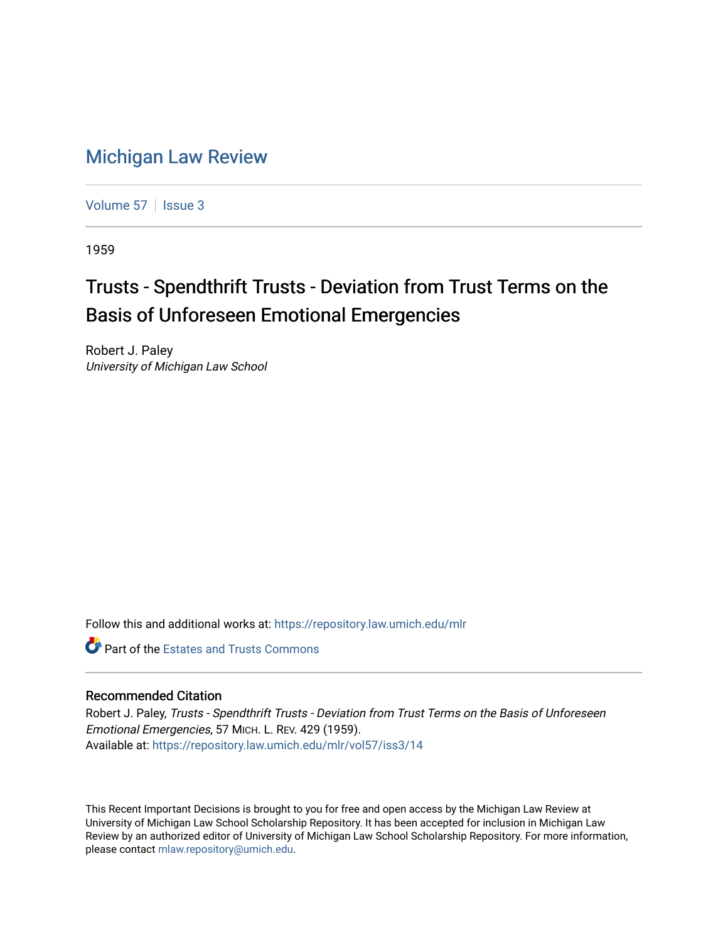## [Michigan Law Review](https://repository.law.umich.edu/mlr)

[Volume 57](https://repository.law.umich.edu/mlr/vol57) | [Issue 3](https://repository.law.umich.edu/mlr/vol57/iss3)

1959

## Trusts - Spendthrift Trusts - Deviation from Trust Terms on the Basis of Unforeseen Emotional Emergencies

Robert J. Paley University of Michigan Law School

Follow this and additional works at: [https://repository.law.umich.edu/mlr](https://repository.law.umich.edu/mlr?utm_source=repository.law.umich.edu%2Fmlr%2Fvol57%2Fiss3%2F14&utm_medium=PDF&utm_campaign=PDFCoverPages) 

**C** Part of the Estates and Trusts Commons

## Recommended Citation

Robert J. Paley, Trusts - Spendthrift Trusts - Deviation from Trust Terms on the Basis of Unforeseen Emotional Emergencies, 57 MICH. L. REV. 429 (1959). Available at: [https://repository.law.umich.edu/mlr/vol57/iss3/14](https://repository.law.umich.edu/mlr/vol57/iss3/14?utm_source=repository.law.umich.edu%2Fmlr%2Fvol57%2Fiss3%2F14&utm_medium=PDF&utm_campaign=PDFCoverPages) 

This Recent Important Decisions is brought to you for free and open access by the Michigan Law Review at University of Michigan Law School Scholarship Repository. It has been accepted for inclusion in Michigan Law Review by an authorized editor of University of Michigan Law School Scholarship Repository. For more information, please contact [mlaw.repository@umich.edu.](mailto:mlaw.repository@umich.edu)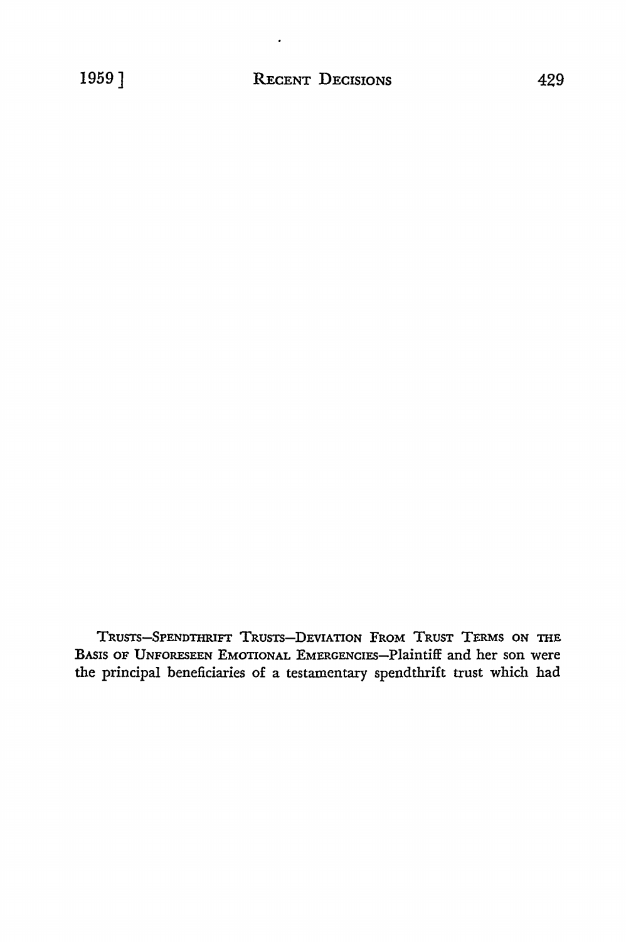TRUSTS-SPENDTHRIFI' TRUSTS-DEVIATION FROM TRUST TERMS ON THE BASIS OF UNFORESEEN EMOTIONAL EMERGENCIES-Plaintiff and her son were the principal beneficiaries of a testamentary spendthrift trust which had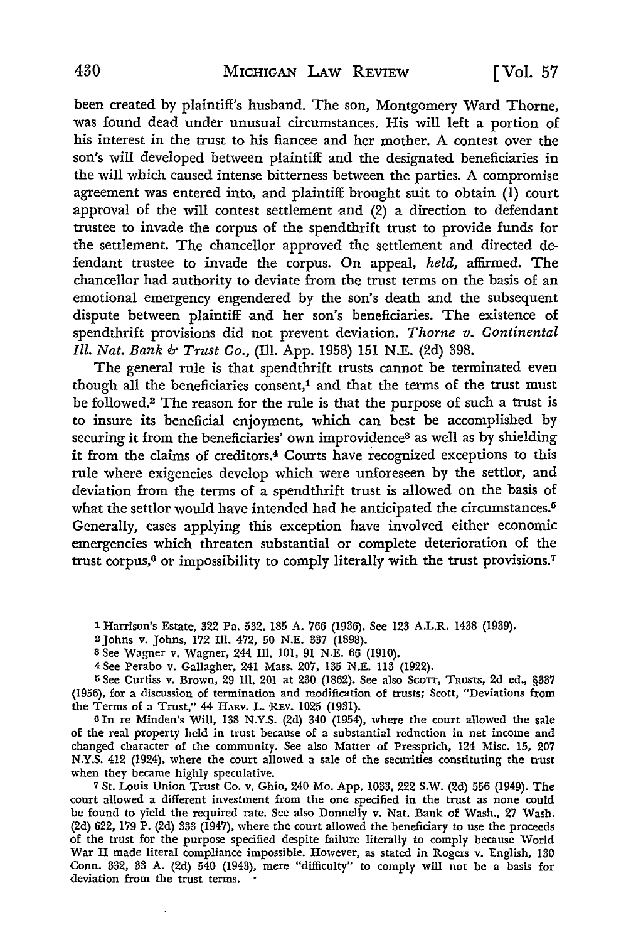been created by plaintiff's husband. The son, Montgomery Ward Thorne, was found dead under unusual circumstances. His will left a portion of his interest in the trust to his fiancee and her mother. A contest over the son's will developed between plaintiff and the designated beneficiaries in the will which caused intense bitterness between the parties. A compromise agreement was entered into, and plaintiff brought suit to obtain  $(1)$  court approval of the will contest settlement and  $(2)$  a direction to defendant trustee to invade the corpus of the spendthrift trust to provide funds for the settlement. The chancellor approved the settlement and directed defendant trustee to invade the corpus. On appeal, *held,* affirmed. The chancellor had authority to deviate from the trust terms on the basis of an emotional emergency engendered by the son's death and the subsequent dispute between plaintiff and her son's beneficiaries. The existence of spendthrift provisions did not prevent deviation. *Thorne v. Continental Ill. Nat. Bank b Trust Co.,* (Ill. App. 1958) 151 N.E. (2d) 398.

The general rule is that spendthrift trusts cannot be terminated even though all the beneficiaries consent,<sup>1</sup> and that the terms of the trust must be followed.2 The reason for the rule is that the purpose of such a trust is to insure its beneficial enjoyment, which can best be accomplished by securing it from the beneficiaries' own improvidence<sup>3</sup> as well as by shielding it from the claims of creditors.4 Courts have recognized exceptions to this rule where exigencies develop which were unforeseen by the settlor, and deviation from the terms of a spendthrift trust is allowed on the basis of what the settlor would have intended had he anticipated the circumstances.<sup>5</sup> Generally, cases applying this exception have involved either economic emergencies which threaten substantial or complete deterioration of the trust corpus,<sup>6</sup> or impossibility to comply literally with the trust provisions.<sup>7</sup>

1 Harrison's Estate, 322 Pa. 532, 185 A. 766 (1936). See 123 A.L.R. 1438 (1939).

2 Johns v. Johns, 172 Ill. 472, 50 N.E. 337 (1898).

3 See Wagner v. Wagner, 244 Ill. 101, 91 N.E. 66 (1910).

4 See Perabo v. Gallagher, 241 Mass. 207, 135 N.E. 113 (1922).

<sup>5</sup>See Curtiss v. Brown, 29 Ill. 201 at 230 (1862). See also ScoTT, TRUSTS, 2d ed., §337 (1956), for a discussion of termination and modification of trusts; Scott, "Deviations from the Terms of a Trust," 44 HARV. L. \REV. 1025 (1931).

<sup>6</sup>In re Minden's Will, 138 N.Y.S. (2d) 340 (1954), where the court allowed the sale of the real property held in trust because of a substantial reduction in net income and changed character of the community. See also Matter of Pressprich, 124 Misc. 15, 207 N.Y.S. 412 (1924), where the court allowed a sale of the securities constituting the trust when they became highly speculative.

<sup>7</sup>St. Louis Union Trust Co. v. Ghio, 240 Mo. App. 1033, 222 S.W. (2d) 556 (1949). The court allowed a different investment from the one specified in the trust as none could be found to yield the required rate. See also Donnelly v. Nat. Bank of Wash., 27 Wash. (2d) 622, 179 P. (2d) 333 (1947), where the court allowed the beneficiary to use the proceeds of the trust for the purpose specified despite failure literally to comply because World War II made literal compliance impossible. However, as stated in Rogers v. English, 130 Conn. 332, 33 A. (2d) 540 (1943), mere "difficulty" to comply will not be a basis for deviation from the trust terms.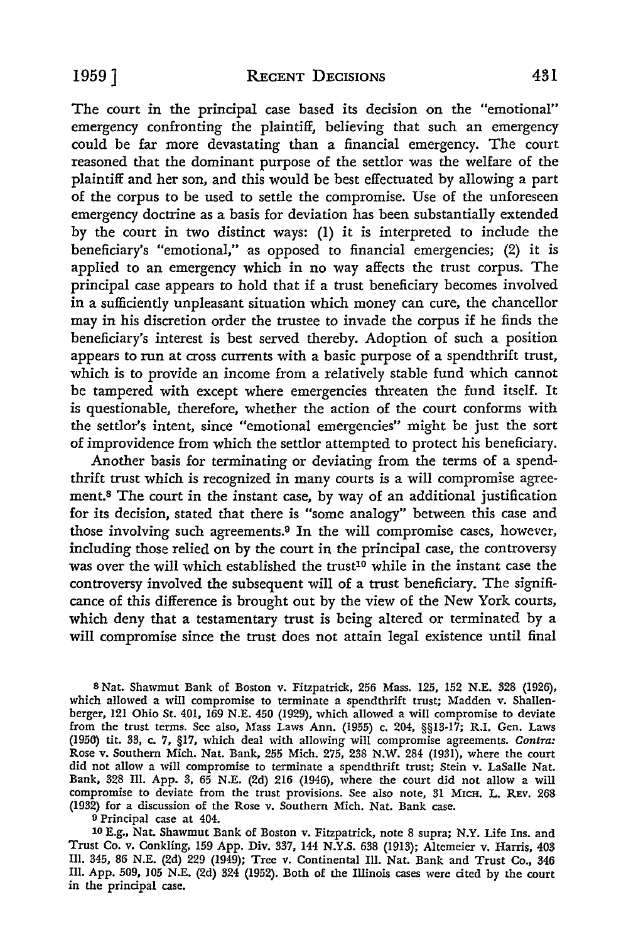The court in the principal case based its decision on the "emotional" emergency confronting the plaintiff, believing that such an emergency could be far more devastating than a financial emergency. The court reasoned that the dominant purpose of the settlor was the welfare of the plaintiff and her son, and this would be best effectuated by allowing a part of the corpus to be used to settle the compromise. Use of the unforeseen emergency doctrine as a basis for deviation has been substantially extended by the court in two distinct ways: (l) it is interpreted to include the beneficiary's "emotional," as opposed to financial emergencies; (2) it is applied to an emergency which in no way affects the trust corpus. The principal case appears to hold that if a trust beneficiary becomes involved in a sufficiently unpleasant situation which money can cure, the chancellor may in his discretion order the trustee to invade the corpus if he finds the beneficiary's interest is best served thereby. Adoption of such a position appears to run at cross currents with a basic purpose of a spendthrift trust, which is to provide an income from a relatively stable fund which cannot be tampered with except where emergencies threaten the fund itself. It is questionable, therefore, whether the action of the court conforms with the settlor's intent, since "emotional emergencies" might be just the sort of improvidence from which the settlor attempted to protect his beneficiary.

Another basis for terminating or deviating from the terms of a spendthrift trust which is recognized in many courts is a will compromise agreement.8 The court in the instant case, by way of an additional justification for its decision, stated that there is "some analogy" between this case and those involving such agreements.9 In the will compromise cases, however, including those relied on by the court in the principal case, the controversy was over the will which established the trust<sup>10</sup> while in the instant case the controversy involved the subsequent will of a trust beneficiary. The significance of this difference is brought out by the view of the New York courts, which deny that a testamentary trust is being altered or terminated by a will compromise since the trust does not attain legal existence until final

8 Nat. Shawmut Bank of Boston v. Fitzpatrick, 256 Mass. 125, 152 N.E. 328 (1926), which allowed a will compromise to terminate a spendthrift trust; Madden v. Shallenberger, 121 Ohio St. 401, 169 N.E. 450 (1929), which allowed a will compromise to deviate from the trust terms. See also, Mass Laws Ann. (1955) c. 204, §§13-17; R.I. Gen. Laws (1956) tit. 33, c. 7, §17, which deal with allowing will compromise agreements. *Contra:*  Rose v. Southern Mich. Nat. Bank, 255 Mich. 275, 238 N.W. 284 (1931), where the court did not allow a will compromise to terminate a spendthrift trust; Stein v. LaSalle Nat. Bank, 328 Ill. App. 3, 65 N.E. (2d) 216 (1946), where the court did not allow a will compromise to deviate from the trust provisions. See also note, 31 MICH. L. REv. 268 (1932) for a discussion of the Rose v. Southern Mich. Nat. Bank case.

<sup>9</sup> Principal case at 404.

10 E.g., Nat. Shawmut Bank of Boston v. Fitzpatrick, note 8 supra; N.Y. Life Ins. and Trust Co. v. Conkling, 159 App. Div. 337, 144 N.Y.S. 638 (1913); Altemeier v. Harris, 403 Ill. 345, 86 N.E. (2d) 229 (1949); Tree v. Continental Ill. Nat. Bank and Trust Co., 346 Ill. App. 509, 105 N.E. (2d) 324 (1952). Both of the Illinois cases were cited by the court in the principal case.